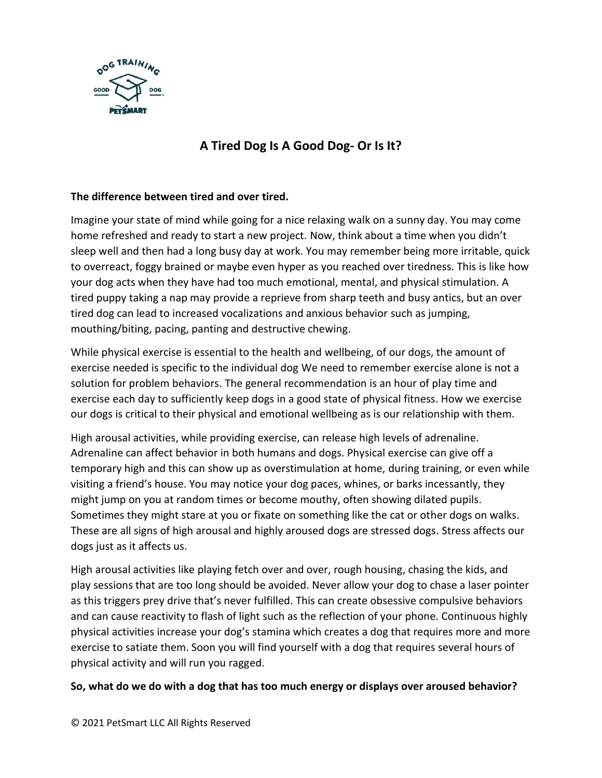

## **A Tired Dog Is A Good Dog- Or Is It?**

## **The difference between tired and over tired.**

Imagine your state of mind while going for a nice relaxing walk on a sunny day. You may come home refreshed and ready to start a new project. Now, think about a time when you didn't sleep well and then had a long busy day at work. You may remember being more irritable, quick to overreact, foggy brained or maybe even hyper as you reached over tiredness. This is like how your dog acts when they have had too much emotional, mental, and physical stimulation. A tired puppy taking a nap may provide a reprieve from sharp teeth and busy antics, but an over tired dog can lead to increased vocalizations and anxious behavior such as jumping, mouthing/biting, pacing, panting and destructive chewing.

While physical exercise is essential to the health and wellbeing, of our dogs, the amount of exercise needed is specific to the individual dog We need to remember exercise alone is not a solution for problem behaviors. The general recommendation is an hour of play time and exercise each day to sufficiently keep dogs in a good state of physical fitness. How we exercise our dogs is critical to their physical and emotional wellbeing as is our relationship with them.

High arousal activities, while providing exercise, can release high levels of adrenaline. Adrenaline can affect behavior in both humans and dogs. Physical exercise can give off a temporary high and this can show up as overstimulation at home, during training, or even while visiting a friend's house. You may notice your dog paces, whines, or barks incessantly, they might jump on you at random times or become mouthy, often showing dilated pupils. Sometimes they might stare at you or fixate on something like the cat or other dogs on walks. These are all signs of high arousal and highly aroused dogs are stressed dogs. Stress affects our dogs just as it affects us.

High arousal activities like playing fetch over and over, rough housing, chasing the kids, and play sessions that are too long should be avoided. Never allow your dog to chase a laser pointer as this triggers prey drive that's never fulfilled. This can create obsessive compulsive behaviors and can cause reactivity to flash of light such as the reflection of your phone. Continuous highly physical activities increase your dog's stamina which creates a dog that requires more and more exercise to satiate them. Soon you will find yourself with a dog that requires several hours of physical activity and will run you ragged.

## **So, what do we do with a dog that has too much energy or displays over aroused behavior?**